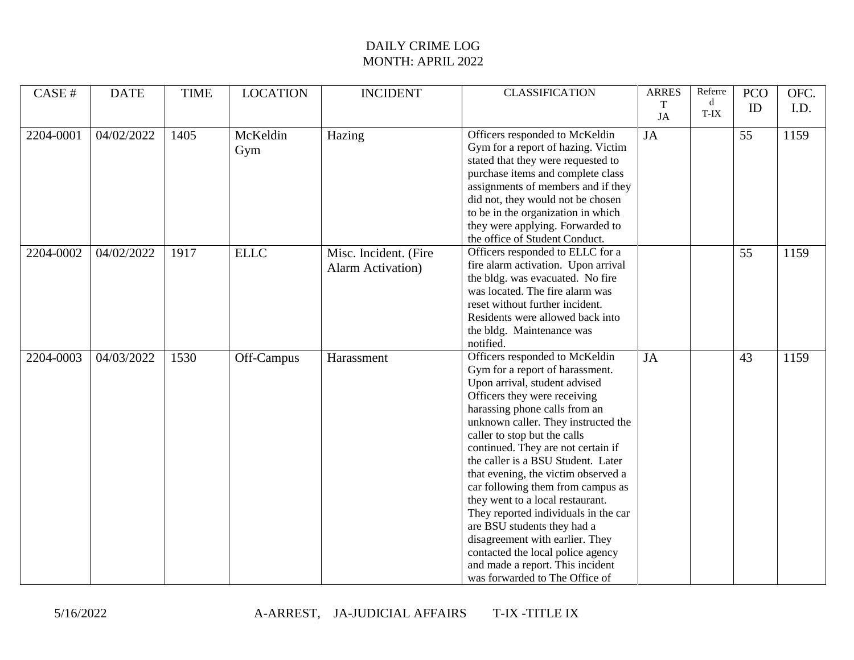| CASE#     | <b>DATE</b> | <b>TIME</b> | <b>LOCATION</b> | <b>INCIDENT</b>                                    | <b>CLASSIFICATION</b>                                                                                                                                                                                                                                                                                                                                                                                                                                                                                                                                                                                                                                       | <b>ARRES</b> | Referre<br>d | <b>PCO</b> | OFC. |
|-----------|-------------|-------------|-----------------|----------------------------------------------------|-------------------------------------------------------------------------------------------------------------------------------------------------------------------------------------------------------------------------------------------------------------------------------------------------------------------------------------------------------------------------------------------------------------------------------------------------------------------------------------------------------------------------------------------------------------------------------------------------------------------------------------------------------------|--------------|--------------|------------|------|
|           |             |             |                 |                                                    |                                                                                                                                                                                                                                                                                                                                                                                                                                                                                                                                                                                                                                                             | T<br>JA      | $T-IX$       | ID         | I.D. |
| 2204-0001 | 04/02/2022  | 1405        | McKeldin<br>Gym | Hazing                                             | Officers responded to McKeldin<br>Gym for a report of hazing. Victim<br>stated that they were requested to<br>purchase items and complete class<br>assignments of members and if they<br>did not, they would not be chosen<br>to be in the organization in which<br>they were applying. Forwarded to<br>the office of Student Conduct.                                                                                                                                                                                                                                                                                                                      | JA           |              | 55         | 1159 |
| 2204-0002 | 04/02/2022  | 1917        | <b>ELLC</b>     | Misc. Incident. (Fire<br><b>Alarm Activation</b> ) | Officers responded to ELLC for a<br>fire alarm activation. Upon arrival<br>the bldg. was evacuated. No fire<br>was located. The fire alarm was<br>reset without further incident.<br>Residents were allowed back into<br>the bldg. Maintenance was<br>notified.                                                                                                                                                                                                                                                                                                                                                                                             |              |              | 55         | 1159 |
| 2204-0003 | 04/03/2022  | 1530        | Off-Campus      | Harassment                                         | Officers responded to McKeldin<br>Gym for a report of harassment.<br>Upon arrival, student advised<br>Officers they were receiving<br>harassing phone calls from an<br>unknown caller. They instructed the<br>caller to stop but the calls<br>continued. They are not certain if<br>the caller is a BSU Student. Later<br>that evening, the victim observed a<br>car following them from campus as<br>they went to a local restaurant.<br>They reported individuals in the car<br>are BSU students they had a<br>disagreement with earlier. They<br>contacted the local police agency<br>and made a report. This incident<br>was forwarded to The Office of | JA           |              | 43         | 1159 |

5/16/2022 A-ARREST, JA-JUDICIAL AFFAIRS T-IX -TITLE IX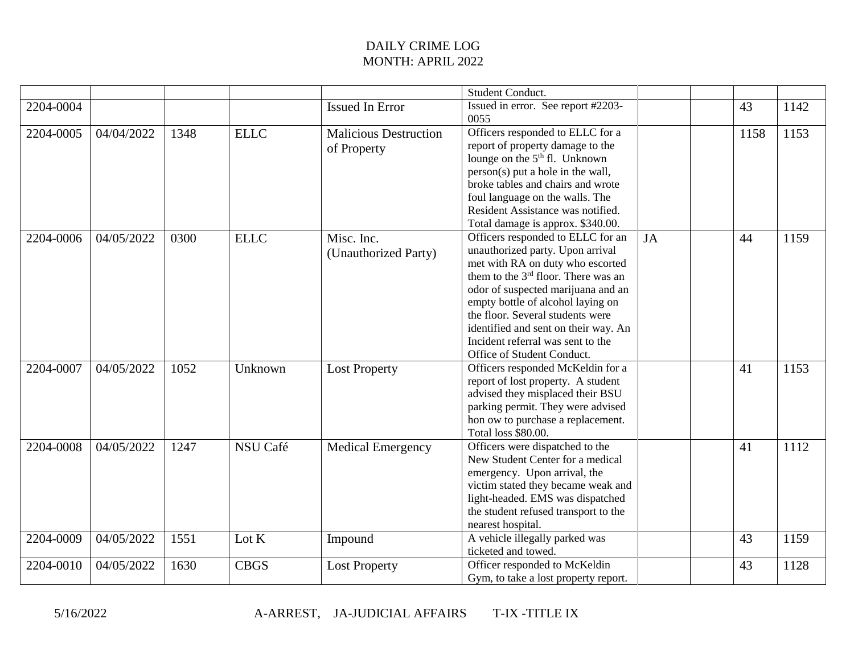|           |            |      |                 |                                             | Student Conduct.                                                                                                                                                                                                                                                                                                                                                                       |    |      |      |
|-----------|------------|------|-----------------|---------------------------------------------|----------------------------------------------------------------------------------------------------------------------------------------------------------------------------------------------------------------------------------------------------------------------------------------------------------------------------------------------------------------------------------------|----|------|------|
| 2204-0004 |            |      |                 | <b>Issued In Error</b>                      | Issued in error. See report #2203-<br>0055                                                                                                                                                                                                                                                                                                                                             |    | 43   | 1142 |
| 2204-0005 | 04/04/2022 | 1348 | <b>ELLC</b>     | <b>Malicious Destruction</b><br>of Property | Officers responded to ELLC for a<br>report of property damage to the<br>lounge on the 5 <sup>th</sup> fl. Unknown<br>person(s) put a hole in the wall,<br>broke tables and chairs and wrote<br>foul language on the walls. The<br>Resident Assistance was notified.<br>Total damage is approx. \$340.00.                                                                               |    | 1158 | 1153 |
| 2204-0006 | 04/05/2022 | 0300 | <b>ELLC</b>     | Misc. Inc.<br>(Unauthorized Party)          | Officers responded to ELLC for an<br>unauthorized party. Upon arrival<br>met with RA on duty who escorted<br>them to the 3 <sup>rd</sup> floor. There was an<br>odor of suspected marijuana and an<br>empty bottle of alcohol laying on<br>the floor. Several students were<br>identified and sent on their way. An<br>Incident referral was sent to the<br>Office of Student Conduct. | JA | 44   | 1159 |
| 2204-0007 | 04/05/2022 | 1052 | Unknown         | <b>Lost Property</b>                        | Officers responded McKeldin for a<br>report of lost property. A student<br>advised they misplaced their BSU<br>parking permit. They were advised<br>hon ow to purchase a replacement.<br>Total loss \$80.00.                                                                                                                                                                           |    | 41   | 1153 |
| 2204-0008 | 04/05/2022 | 1247 | <b>NSU Café</b> | <b>Medical Emergency</b>                    | Officers were dispatched to the<br>New Student Center for a medical<br>emergency. Upon arrival, the<br>victim stated they became weak and<br>light-headed. EMS was dispatched<br>the student refused transport to the<br>nearest hospital.                                                                                                                                             |    | 41   | 1112 |
| 2204-0009 | 04/05/2022 | 1551 | Lot K           | Impound                                     | A vehicle illegally parked was<br>ticketed and towed.                                                                                                                                                                                                                                                                                                                                  |    | 43   | 1159 |
| 2204-0010 | 04/05/2022 | 1630 | <b>CBGS</b>     | <b>Lost Property</b>                        | Officer responded to McKeldin<br>Gym, to take a lost property report.                                                                                                                                                                                                                                                                                                                  |    | 43   | 1128 |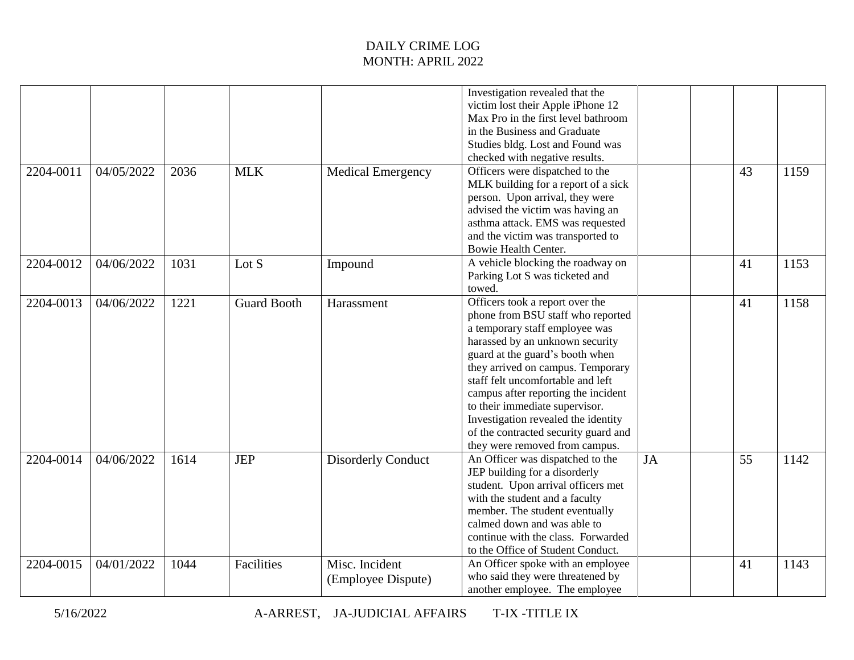| 2204-0011 | 04/05/2022 | 2036 | <b>MLK</b>         | <b>Medical Emergency</b>             | Investigation revealed that the<br>victim lost their Apple iPhone 12<br>Max Pro in the first level bathroom<br>in the Business and Graduate<br>Studies bldg. Lost and Found was<br>checked with negative results.<br>Officers were dispatched to the                                                                                                                                                                                             |           | 43 | 1159 |
|-----------|------------|------|--------------------|--------------------------------------|--------------------------------------------------------------------------------------------------------------------------------------------------------------------------------------------------------------------------------------------------------------------------------------------------------------------------------------------------------------------------------------------------------------------------------------------------|-----------|----|------|
|           |            |      |                    |                                      | MLK building for a report of a sick<br>person. Upon arrival, they were<br>advised the victim was having an<br>asthma attack. EMS was requested<br>and the victim was transported to<br>Bowie Health Center.                                                                                                                                                                                                                                      |           |    |      |
| 2204-0012 | 04/06/2022 | 1031 | Lot S              | Impound                              | A vehicle blocking the roadway on<br>Parking Lot S was ticketed and<br>towed.                                                                                                                                                                                                                                                                                                                                                                    |           | 41 | 1153 |
| 2204-0013 | 04/06/2022 | 1221 | <b>Guard Booth</b> | Harassment                           | Officers took a report over the<br>phone from BSU staff who reported<br>a temporary staff employee was<br>harassed by an unknown security<br>guard at the guard's booth when<br>they arrived on campus. Temporary<br>staff felt uncomfortable and left<br>campus after reporting the incident<br>to their immediate supervisor.<br>Investigation revealed the identity<br>of the contracted security guard and<br>they were removed from campus. |           | 41 | 1158 |
| 2204-0014 | 04/06/2022 | 1614 | <b>JEP</b>         | <b>Disorderly Conduct</b>            | An Officer was dispatched to the<br>JEP building for a disorderly<br>student. Upon arrival officers met<br>with the student and a faculty<br>member. The student eventually<br>calmed down and was able to<br>continue with the class. Forwarded<br>to the Office of Student Conduct.                                                                                                                                                            | <b>JA</b> | 55 | 1142 |
| 2204-0015 | 04/01/2022 | 1044 | Facilities         | Misc. Incident<br>(Employee Dispute) | An Officer spoke with an employee<br>who said they were threatened by<br>another employee. The employee                                                                                                                                                                                                                                                                                                                                          |           | 41 | 1143 |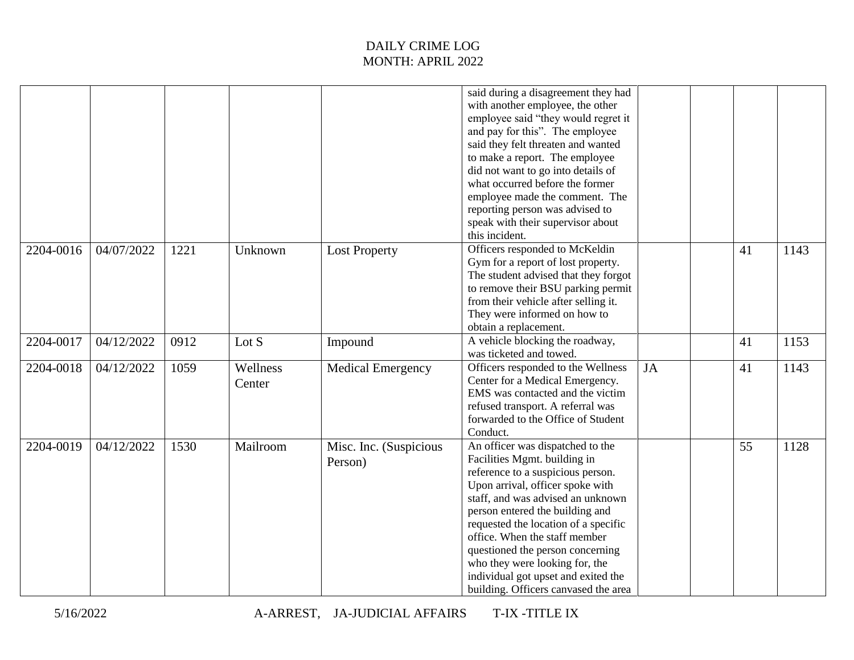|           |            |      |                    |                                   | said during a disagreement they had<br>with another employee, the other<br>employee said "they would regret it<br>and pay for this". The employee<br>said they felt threaten and wanted<br>to make a report. The employee<br>did not want to go into details of<br>what occurred before the former<br>employee made the comment. The<br>reporting person was advised to<br>speak with their supervisor about<br>this incident.                  |    |                 |      |
|-----------|------------|------|--------------------|-----------------------------------|-------------------------------------------------------------------------------------------------------------------------------------------------------------------------------------------------------------------------------------------------------------------------------------------------------------------------------------------------------------------------------------------------------------------------------------------------|----|-----------------|------|
| 2204-0016 | 04/07/2022 | 1221 | Unknown            | <b>Lost Property</b>              | Officers responded to McKeldin<br>Gym for a report of lost property.<br>The student advised that they forgot<br>to remove their BSU parking permit<br>from their vehicle after selling it.<br>They were informed on how to<br>obtain a replacement.                                                                                                                                                                                             |    | 41              | 1143 |
| 2204-0017 | 04/12/2022 | 0912 | Lot S              | Impound                           | A vehicle blocking the roadway,<br>was ticketed and towed.                                                                                                                                                                                                                                                                                                                                                                                      |    | 41              | 1153 |
| 2204-0018 | 04/12/2022 | 1059 | Wellness<br>Center | <b>Medical Emergency</b>          | Officers responded to the Wellness<br>Center for a Medical Emergency.<br>EMS was contacted and the victim<br>refused transport. A referral was<br>forwarded to the Office of Student<br>Conduct.                                                                                                                                                                                                                                                | JA | 41              | 1143 |
| 2204-0019 | 04/12/2022 | 1530 | Mailroom           | Misc. Inc. (Suspicious<br>Person) | An officer was dispatched to the<br>Facilities Mgmt. building in<br>reference to a suspicious person.<br>Upon arrival, officer spoke with<br>staff, and was advised an unknown<br>person entered the building and<br>requested the location of a specific<br>office. When the staff member<br>questioned the person concerning<br>who they were looking for, the<br>individual got upset and exited the<br>building. Officers canvased the area |    | $\overline{55}$ | 1128 |

5/16/2022 A-ARREST, JA-JUDICIAL AFFAIRS T-IX -TITLE IX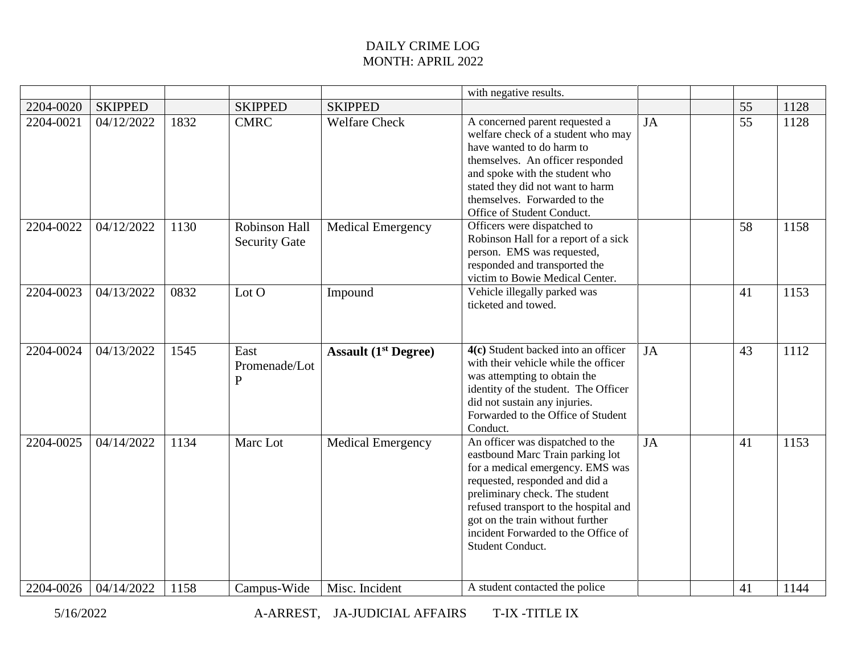|           |                |      |                                       |                                | with negative results.                                                                                                                                                                                                                                                                                               |           |                 |      |
|-----------|----------------|------|---------------------------------------|--------------------------------|----------------------------------------------------------------------------------------------------------------------------------------------------------------------------------------------------------------------------------------------------------------------------------------------------------------------|-----------|-----------------|------|
| 2204-0020 | <b>SKIPPED</b> |      | <b>SKIPPED</b>                        | <b>SKIPPED</b>                 |                                                                                                                                                                                                                                                                                                                      |           | 55              | 1128 |
| 2204-0021 | 04/12/2022     | 1832 | <b>CMRC</b>                           | <b>Welfare Check</b>           | A concerned parent requested a<br>welfare check of a student who may<br>have wanted to do harm to<br>themselves. An officer responded<br>and spoke with the student who<br>stated they did not want to harm<br>themselves. Forwarded to the<br>Office of Student Conduct.                                            | <b>JA</b> | $\overline{55}$ | 1128 |
| 2204-0022 | 04/12/2022     | 1130 | Robinson Hall<br><b>Security Gate</b> | <b>Medical Emergency</b>       | Officers were dispatched to<br>Robinson Hall for a report of a sick<br>person. EMS was requested,<br>responded and transported the<br>victim to Bowie Medical Center.                                                                                                                                                |           | 58              | 1158 |
| 2204-0023 | 04/13/2022     | 0832 | Lot O                                 | Impound                        | Vehicle illegally parked was<br>ticketed and towed.                                                                                                                                                                                                                                                                  |           | 41              | 1153 |
| 2204-0024 | 04/13/2022     | 1545 | East<br>Promenade/Lot<br>$\mathbf{P}$ | Assault $(1st \text{ Degree})$ | 4(c) Student backed into an officer<br>with their vehicle while the officer<br>was attempting to obtain the<br>identity of the student. The Officer<br>did not sustain any injuries.<br>Forwarded to the Office of Student<br>Conduct.                                                                               | JA        | 43              | 1112 |
| 2204-0025 | 04/14/2022     | 1134 | Marc Lot                              | <b>Medical Emergency</b>       | An officer was dispatched to the<br>eastbound Marc Train parking lot<br>for a medical emergency. EMS was<br>requested, responded and did a<br>preliminary check. The student<br>refused transport to the hospital and<br>got on the train without further<br>incident Forwarded to the Office of<br>Student Conduct. | JA        | 41              | 1153 |
| 2204-0026 | 04/14/2022     | 1158 | Campus-Wide                           | Misc. Incident                 | A student contacted the police                                                                                                                                                                                                                                                                                       |           | 41              | 1144 |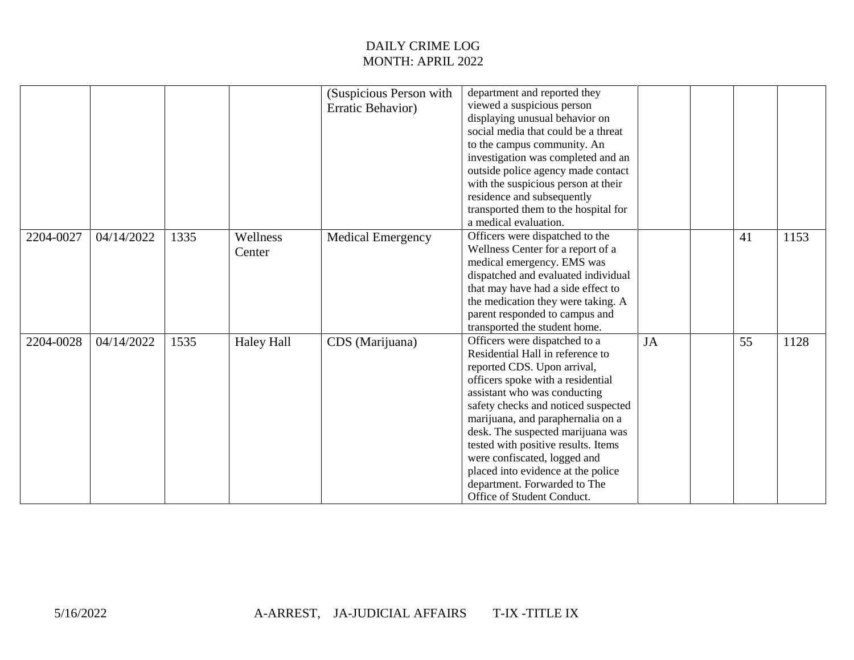|           |            |      |                   | (Suspicious Person with  | department and reported they         |           |    |      |
|-----------|------------|------|-------------------|--------------------------|--------------------------------------|-----------|----|------|
|           |            |      |                   | Erratic Behavior)        | viewed a suspicious person           |           |    |      |
|           |            |      |                   |                          | displaying unusual behavior on       |           |    |      |
|           |            |      |                   |                          | social media that could be a threat  |           |    |      |
|           |            |      |                   |                          | to the campus community. An          |           |    |      |
|           |            |      |                   |                          | investigation was completed and an   |           |    |      |
|           |            |      |                   |                          | outside police agency made contact   |           |    |      |
|           |            |      |                   |                          | with the suspicious person at their  |           |    |      |
|           |            |      |                   |                          | residence and subsequently           |           |    |      |
|           |            |      |                   |                          | transported them to the hospital for |           |    |      |
|           |            |      |                   |                          | a medical evaluation.                |           |    |      |
| 2204-0027 | 04/14/2022 | 1335 | Wellness          | <b>Medical Emergency</b> | Officers were dispatched to the      |           | 41 | 1153 |
|           |            |      | Center            |                          | Wellness Center for a report of a    |           |    |      |
|           |            |      |                   |                          | medical emergency. EMS was           |           |    |      |
|           |            |      |                   |                          | dispatched and evaluated individual  |           |    |      |
|           |            |      |                   |                          | that may have had a side effect to   |           |    |      |
|           |            |      |                   |                          | the medication they were taking. A   |           |    |      |
|           |            |      |                   |                          | parent responded to campus and       |           |    |      |
|           |            |      |                   |                          | transported the student home.        |           |    |      |
| 2204-0028 | 04/14/2022 | 1535 | <b>Haley Hall</b> | CDS (Marijuana)          | Officers were dispatched to a        | <b>JA</b> | 55 | 1128 |
|           |            |      |                   |                          | Residential Hall in reference to     |           |    |      |
|           |            |      |                   |                          | reported CDS. Upon arrival,          |           |    |      |
|           |            |      |                   |                          | officers spoke with a residential    |           |    |      |
|           |            |      |                   |                          | assistant who was conducting         |           |    |      |
|           |            |      |                   |                          | safety checks and noticed suspected  |           |    |      |
|           |            |      |                   |                          | marijuana, and paraphernalia on a    |           |    |      |
|           |            |      |                   |                          | desk. The suspected marijuana was    |           |    |      |
|           |            |      |                   |                          | tested with positive results. Items  |           |    |      |
|           |            |      |                   |                          | were confiscated, logged and         |           |    |      |
|           |            |      |                   |                          | placed into evidence at the police   |           |    |      |
|           |            |      |                   |                          | department. Forwarded to The         |           |    |      |
|           |            |      |                   |                          | Office of Student Conduct.           |           |    |      |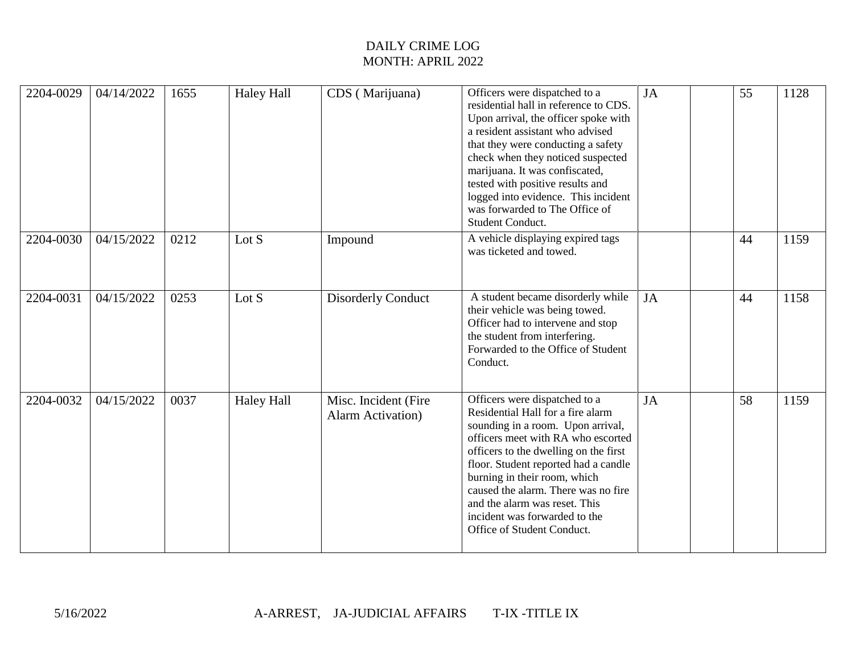| 2204-0029 | 04/14/2022 | 1655 | <b>Haley Hall</b> | CDS (Marijuana)                                   | Officers were dispatched to a<br>residential hall in reference to CDS.<br>Upon arrival, the officer spoke with<br>a resident assistant who advised<br>that they were conducting a safety<br>check when they noticed suspected<br>marijuana. It was confiscated,<br>tested with positive results and<br>logged into evidence. This incident<br>was forwarded to The Office of<br>Student Conduct.      | <b>JA</b> | 55 | 1128 |
|-----------|------------|------|-------------------|---------------------------------------------------|-------------------------------------------------------------------------------------------------------------------------------------------------------------------------------------------------------------------------------------------------------------------------------------------------------------------------------------------------------------------------------------------------------|-----------|----|------|
| 2204-0030 | 04/15/2022 | 0212 | Lot S             | Impound                                           | A vehicle displaying expired tags<br>was ticketed and towed.                                                                                                                                                                                                                                                                                                                                          |           | 44 | 1159 |
| 2204-0031 | 04/15/2022 | 0253 | Lot S             | <b>Disorderly Conduct</b>                         | A student became disorderly while<br>their vehicle was being towed.<br>Officer had to intervene and stop<br>the student from interfering.<br>Forwarded to the Office of Student<br>Conduct.                                                                                                                                                                                                           | JA        | 44 | 1158 |
| 2204-0032 | 04/15/2022 | 0037 | <b>Haley Hall</b> | Misc. Incident (Fire<br><b>Alarm Activation</b> ) | Officers were dispatched to a<br>Residential Hall for a fire alarm<br>sounding in a room. Upon arrival,<br>officers meet with RA who escorted<br>officers to the dwelling on the first<br>floor. Student reported had a candle<br>burning in their room, which<br>caused the alarm. There was no fire<br>and the alarm was reset. This<br>incident was forwarded to the<br>Office of Student Conduct. | JA        | 58 | 1159 |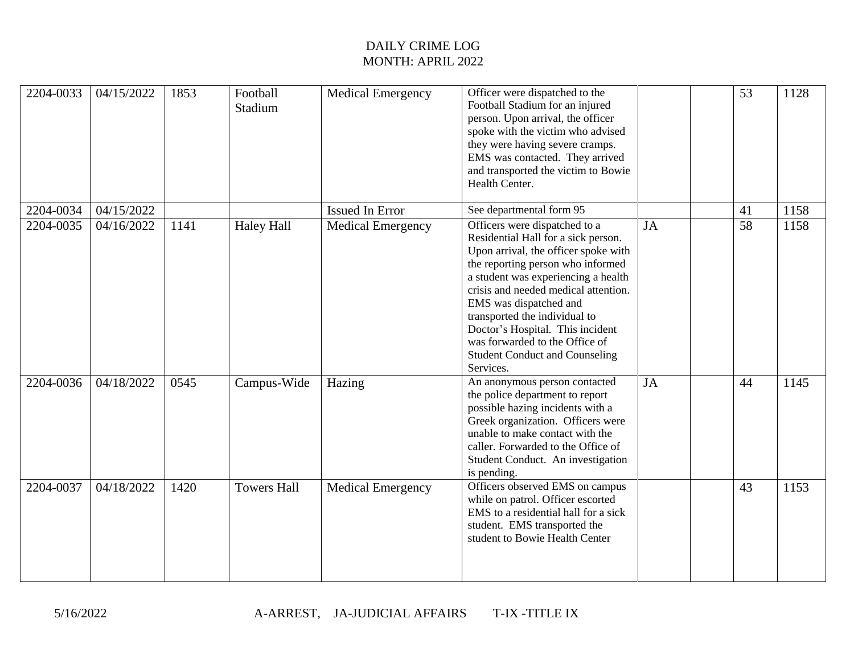| 2204-0033 | 04/15/2022 | 1853 | Football<br>Stadium | <b>Medical Emergency</b> | Officer were dispatched to the<br>Football Stadium for an injured<br>person. Upon arrival, the officer<br>spoke with the victim who advised<br>they were having severe cramps.<br>EMS was contacted. They arrived<br>and transported the victim to Bowie<br>Health Center.                                                                                                                                              |           | 53 | 1128 |
|-----------|------------|------|---------------------|--------------------------|-------------------------------------------------------------------------------------------------------------------------------------------------------------------------------------------------------------------------------------------------------------------------------------------------------------------------------------------------------------------------------------------------------------------------|-----------|----|------|
| 2204-0034 | 04/15/2022 |      |                     | <b>Issued In Error</b>   | See departmental form 95                                                                                                                                                                                                                                                                                                                                                                                                |           | 41 | 1158 |
| 2204-0035 | 04/16/2022 | 1141 | <b>Haley Hall</b>   | <b>Medical Emergency</b> | Officers were dispatched to a<br>Residential Hall for a sick person.<br>Upon arrival, the officer spoke with<br>the reporting person who informed<br>a student was experiencing a health<br>crisis and needed medical attention.<br>EMS was dispatched and<br>transported the individual to<br>Doctor's Hospital. This incident<br>was forwarded to the Office of<br><b>Student Conduct and Counseling</b><br>Services. | JA        | 58 | 1158 |
| 2204-0036 | 04/18/2022 | 0545 | Campus-Wide         | Hazing                   | An anonymous person contacted<br>the police department to report<br>possible hazing incidents with a<br>Greek organization. Officers were<br>unable to make contact with the<br>caller. Forwarded to the Office of<br>Student Conduct. An investigation<br>is pending.                                                                                                                                                  | <b>JA</b> | 44 | 1145 |
| 2204-0037 | 04/18/2022 | 1420 | <b>Towers Hall</b>  | <b>Medical Emergency</b> | Officers observed EMS on campus<br>while on patrol. Officer escorted<br>EMS to a residential hall for a sick<br>student. EMS transported the<br>student to Bowie Health Center                                                                                                                                                                                                                                          |           | 43 | 1153 |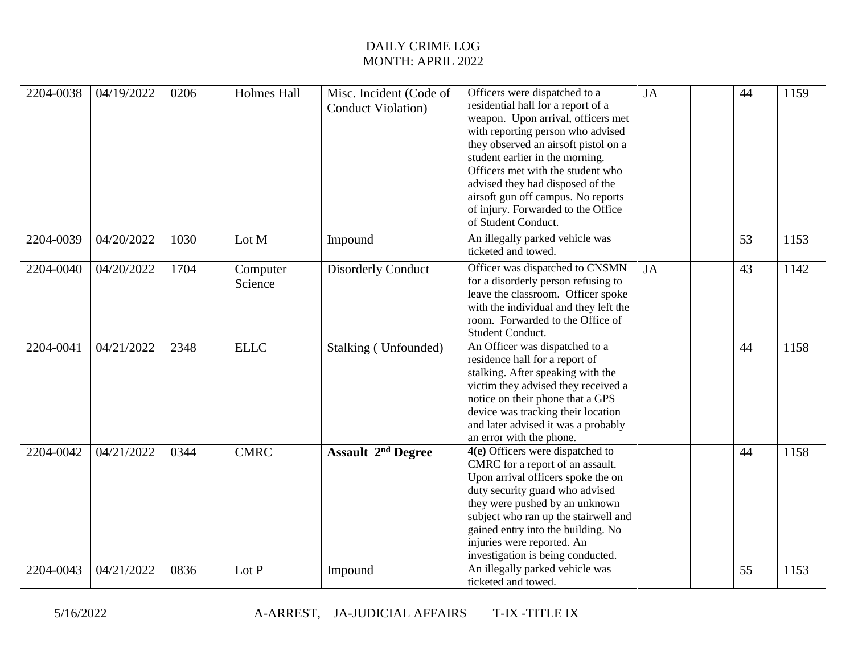| 2204-0038 | 04/19/2022 | 0206 | <b>Holmes Hall</b>  | Misc. Incident (Code of<br>Conduct Violation) | Officers were dispatched to a<br>residential hall for a report of a<br>weapon. Upon arrival, officers met<br>with reporting person who advised<br>they observed an airsoft pistol on a<br>student earlier in the morning.<br>Officers met with the student who<br>advised they had disposed of the<br>airsoft gun off campus. No reports<br>of injury. Forwarded to the Office<br>of Student Conduct. | <b>JA</b> | 44 | 1159 |
|-----------|------------|------|---------------------|-----------------------------------------------|-------------------------------------------------------------------------------------------------------------------------------------------------------------------------------------------------------------------------------------------------------------------------------------------------------------------------------------------------------------------------------------------------------|-----------|----|------|
| 2204-0039 | 04/20/2022 | 1030 | Lot M               | Impound                                       | An illegally parked vehicle was<br>ticketed and towed.                                                                                                                                                                                                                                                                                                                                                |           | 53 | 1153 |
| 2204-0040 | 04/20/2022 | 1704 | Computer<br>Science | <b>Disorderly Conduct</b>                     | Officer was dispatched to CNSMN<br>for a disorderly person refusing to<br>leave the classroom. Officer spoke<br>with the individual and they left the<br>room. Forwarded to the Office of<br>Student Conduct.                                                                                                                                                                                         | JA        | 43 | 1142 |
| 2204-0041 | 04/21/2022 | 2348 | <b>ELLC</b>         | Stalking (Unfounded)                          | An Officer was dispatched to a<br>residence hall for a report of<br>stalking. After speaking with the<br>victim they advised they received a<br>notice on their phone that a GPS<br>device was tracking their location<br>and later advised it was a probably<br>an error with the phone.                                                                                                             |           | 44 | 1158 |
| 2204-0042 | 04/21/2022 | 0344 | <b>CMRC</b>         | <b>Assault 2<sup>nd</sup> Degree</b>          | 4(e) Officers were dispatched to<br>CMRC for a report of an assault.<br>Upon arrival officers spoke the on<br>duty security guard who advised<br>they were pushed by an unknown<br>subject who ran up the stairwell and<br>gained entry into the building. No<br>injuries were reported. An<br>investigation is being conducted.                                                                      |           | 44 | 1158 |
| 2204-0043 | 04/21/2022 | 0836 | Lot P               | Impound                                       | An illegally parked vehicle was<br>ticketed and towed.                                                                                                                                                                                                                                                                                                                                                |           | 55 | 1153 |

5/16/2022 A-ARREST, JA-JUDICIAL AFFAIRS T-IX -TITLE IX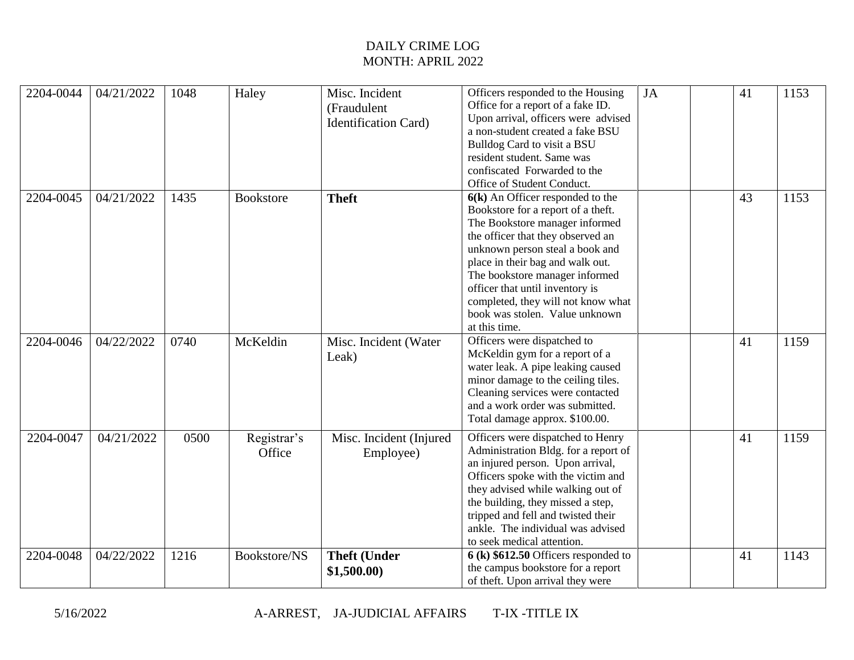| 2204-0044 | 04/21/2022 | 1048 | Haley                 | Misc. Incident<br>(Fraudulent<br>Identification Card) | Officers responded to the Housing<br>Office for a report of a fake ID.<br>Upon arrival, officers were advised<br>a non-student created a fake BSU<br>Bulldog Card to visit a BSU<br>resident student. Same was<br>confiscated Forwarded to the<br>Office of Student Conduct.                                                                                                         | JA | 41 | 1153 |
|-----------|------------|------|-----------------------|-------------------------------------------------------|--------------------------------------------------------------------------------------------------------------------------------------------------------------------------------------------------------------------------------------------------------------------------------------------------------------------------------------------------------------------------------------|----|----|------|
| 2204-0045 | 04/21/2022 | 1435 | <b>Bookstore</b>      | <b>Theft</b>                                          | $6(k)$ An Officer responded to the<br>Bookstore for a report of a theft.<br>The Bookstore manager informed<br>the officer that they observed an<br>unknown person steal a book and<br>place in their bag and walk out.<br>The bookstore manager informed<br>officer that until inventory is<br>completed, they will not know what<br>book was stolen. Value unknown<br>at this time. |    | 43 | 1153 |
| 2204-0046 | 04/22/2022 | 0740 | McKeldin              | Misc. Incident (Water<br>Leak)                        | Officers were dispatched to<br>McKeldin gym for a report of a<br>water leak. A pipe leaking caused<br>minor damage to the ceiling tiles.<br>Cleaning services were contacted<br>and a work order was submitted.<br>Total damage approx. \$100.00.                                                                                                                                    |    | 41 | 1159 |
| 2204-0047 | 04/21/2022 | 0500 | Registrar's<br>Office | Misc. Incident (Injured<br>Employee)                  | Officers were dispatched to Henry<br>Administration Bldg. for a report of<br>an injured person. Upon arrival,<br>Officers spoke with the victim and<br>they advised while walking out of<br>the building, they missed a step,<br>tripped and fell and twisted their<br>ankle. The individual was advised<br>to seek medical attention.                                               |    | 41 | 1159 |
| 2204-0048 | 04/22/2022 | 1216 | Bookstore/NS          | <b>Theft (Under</b><br>\$1,500.00                     | 6 (k) \$612.50 Officers responded to<br>the campus bookstore for a report<br>of theft. Upon arrival they were                                                                                                                                                                                                                                                                        |    | 41 | 1143 |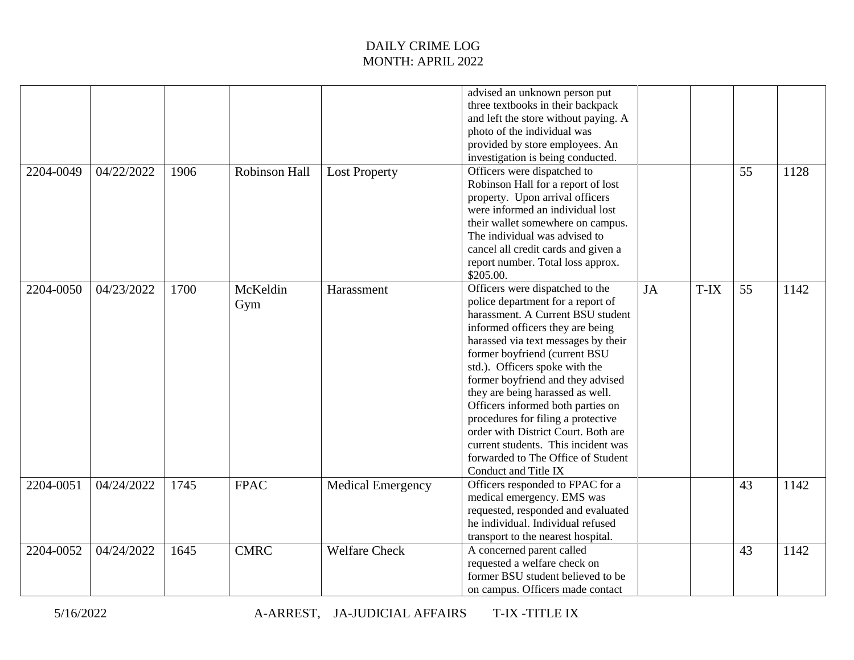|           |            |      |                 |                          | advised an unknown person put<br>three textbooks in their backpack<br>and left the store without paying. A<br>photo of the individual was<br>provided by store employees. An<br>investigation is being conducted.                                                                                                                                                                                                                                                                                                                                       |    |      |    |      |
|-----------|------------|------|-----------------|--------------------------|---------------------------------------------------------------------------------------------------------------------------------------------------------------------------------------------------------------------------------------------------------------------------------------------------------------------------------------------------------------------------------------------------------------------------------------------------------------------------------------------------------------------------------------------------------|----|------|----|------|
| 2204-0049 | 04/22/2022 | 1906 | Robinson Hall   | <b>Lost Property</b>     | Officers were dispatched to<br>Robinson Hall for a report of lost<br>property. Upon arrival officers<br>were informed an individual lost<br>their wallet somewhere on campus.<br>The individual was advised to<br>cancel all credit cards and given a<br>report number. Total loss approx.<br>\$205.00.                                                                                                                                                                                                                                                 |    |      | 55 | 1128 |
| 2204-0050 | 04/23/2022 | 1700 | McKeldin<br>Gym | Harassment               | Officers were dispatched to the<br>police department for a report of<br>harassment. A Current BSU student<br>informed officers they are being<br>harassed via text messages by their<br>former boyfriend (current BSU<br>std.). Officers spoke with the<br>former boyfriend and they advised<br>they are being harassed as well.<br>Officers informed both parties on<br>procedures for filing a protective<br>order with District Court. Both are<br>current students. This incident was<br>forwarded to The Office of Student<br>Conduct and Title IX | JA | T-IX | 55 | 1142 |
| 2204-0051 | 04/24/2022 | 1745 | <b>FPAC</b>     | <b>Medical Emergency</b> | Officers responded to FPAC for a<br>medical emergency. EMS was<br>requested, responded and evaluated<br>he individual. Individual refused<br>transport to the nearest hospital.                                                                                                                                                                                                                                                                                                                                                                         |    |      | 43 | 1142 |
| 2204-0052 | 04/24/2022 | 1645 | <b>CMRC</b>     | <b>Welfare Check</b>     | A concerned parent called<br>requested a welfare check on<br>former BSU student believed to be<br>on campus. Officers made contact                                                                                                                                                                                                                                                                                                                                                                                                                      |    |      | 43 | 1142 |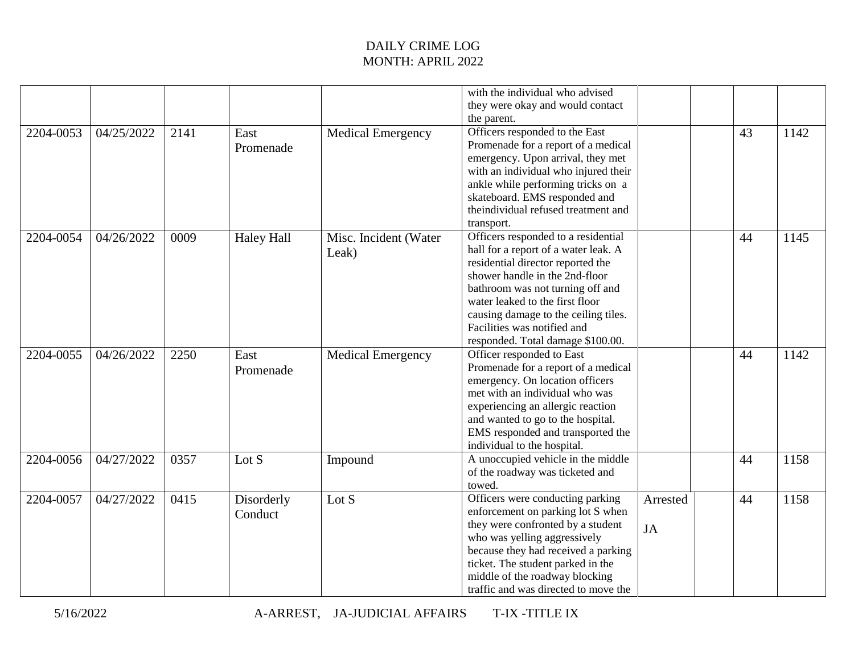|           |            |      |                       |                                | with the individual who advised<br>they were okay and would contact<br>the parent.                                                                                                                                                                                                                                                    |                       |    |      |
|-----------|------------|------|-----------------------|--------------------------------|---------------------------------------------------------------------------------------------------------------------------------------------------------------------------------------------------------------------------------------------------------------------------------------------------------------------------------------|-----------------------|----|------|
| 2204-0053 | 04/25/2022 | 2141 | East<br>Promenade     | Medical Emergency              | Officers responded to the East<br>Promenade for a report of a medical<br>emergency. Upon arrival, they met<br>with an individual who injured their<br>ankle while performing tricks on a<br>skateboard. EMS responded and<br>theindividual refused treatment and<br>transport.                                                        |                       | 43 | 1142 |
| 2204-0054 | 04/26/2022 | 0009 | <b>Haley Hall</b>     | Misc. Incident (Water<br>Leak) | Officers responded to a residential<br>hall for a report of a water leak. A<br>residential director reported the<br>shower handle in the 2nd-floor<br>bathroom was not turning off and<br>water leaked to the first floor<br>causing damage to the ceiling tiles.<br>Facilities was notified and<br>responded. Total damage \$100.00. |                       | 44 | 1145 |
| 2204-0055 | 04/26/2022 | 2250 | East<br>Promenade     | <b>Medical Emergency</b>       | Officer responded to East<br>Promenade for a report of a medical<br>emergency. On location officers<br>met with an individual who was<br>experiencing an allergic reaction<br>and wanted to go to the hospital.<br>EMS responded and transported the<br>individual to the hospital.                                                   |                       | 44 | 1142 |
| 2204-0056 | 04/27/2022 | 0357 | Lot S                 | Impound                        | A unoccupied vehicle in the middle<br>of the roadway was ticketed and<br>towed.                                                                                                                                                                                                                                                       |                       | 44 | 1158 |
| 2204-0057 | 04/27/2022 | 0415 | Disorderly<br>Conduct | Lot S                          | Officers were conducting parking<br>enforcement on parking lot S when<br>they were confronted by a student<br>who was yelling aggressively<br>because they had received a parking<br>ticket. The student parked in the<br>middle of the roadway blocking<br>traffic and was directed to move the                                      | Arrested<br><b>JA</b> | 44 | 1158 |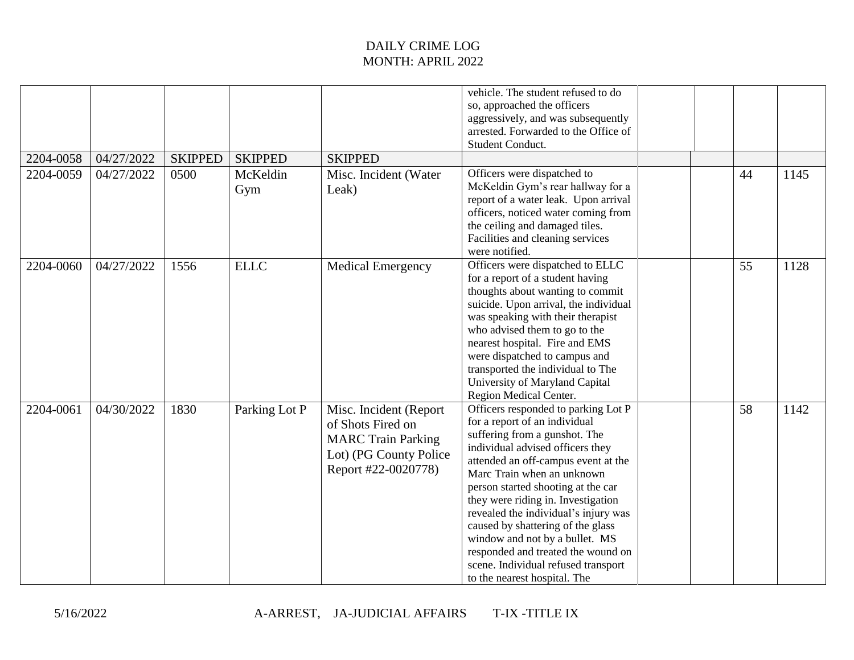|           |            |                |                 |                                                                                                                           | vehicle. The student refused to do<br>so, approached the officers<br>aggressively, and was subsequently<br>arrested. Forwarded to the Office of<br>Student Conduct.                                                                                                                                                                                                                                                                                                                                                    |  |    |      |
|-----------|------------|----------------|-----------------|---------------------------------------------------------------------------------------------------------------------------|------------------------------------------------------------------------------------------------------------------------------------------------------------------------------------------------------------------------------------------------------------------------------------------------------------------------------------------------------------------------------------------------------------------------------------------------------------------------------------------------------------------------|--|----|------|
| 2204-0058 | 04/27/2022 | <b>SKIPPED</b> | <b>SKIPPED</b>  | <b>SKIPPED</b>                                                                                                            |                                                                                                                                                                                                                                                                                                                                                                                                                                                                                                                        |  |    |      |
| 2204-0059 | 04/27/2022 | 0500           | McKeldin<br>Gym | Misc. Incident (Water<br>Leak)                                                                                            | Officers were dispatched to<br>McKeldin Gym's rear hallway for a<br>report of a water leak. Upon arrival<br>officers, noticed water coming from<br>the ceiling and damaged tiles.<br>Facilities and cleaning services<br>were notified.                                                                                                                                                                                                                                                                                |  | 44 | 1145 |
| 2204-0060 | 04/27/2022 | 1556           | <b>ELLC</b>     | <b>Medical Emergency</b>                                                                                                  | Officers were dispatched to ELLC<br>for a report of a student having<br>thoughts about wanting to commit<br>suicide. Upon arrival, the individual<br>was speaking with their therapist<br>who advised them to go to the<br>nearest hospital. Fire and EMS<br>were dispatched to campus and<br>transported the individual to The<br>University of Maryland Capital<br>Region Medical Center.                                                                                                                            |  | 55 | 1128 |
| 2204-0061 | 04/30/2022 | 1830           | Parking Lot P   | Misc. Incident (Report<br>of Shots Fired on<br><b>MARC Train Parking</b><br>Lot) (PG County Police<br>Report #22-0020778) | Officers responded to parking Lot P<br>for a report of an individual<br>suffering from a gunshot. The<br>individual advised officers they<br>attended an off-campus event at the<br>Marc Train when an unknown<br>person started shooting at the car<br>they were riding in. Investigation<br>revealed the individual's injury was<br>caused by shattering of the glass<br>window and not by a bullet. MS<br>responded and treated the wound on<br>scene. Individual refused transport<br>to the nearest hospital. The |  | 58 | 1142 |